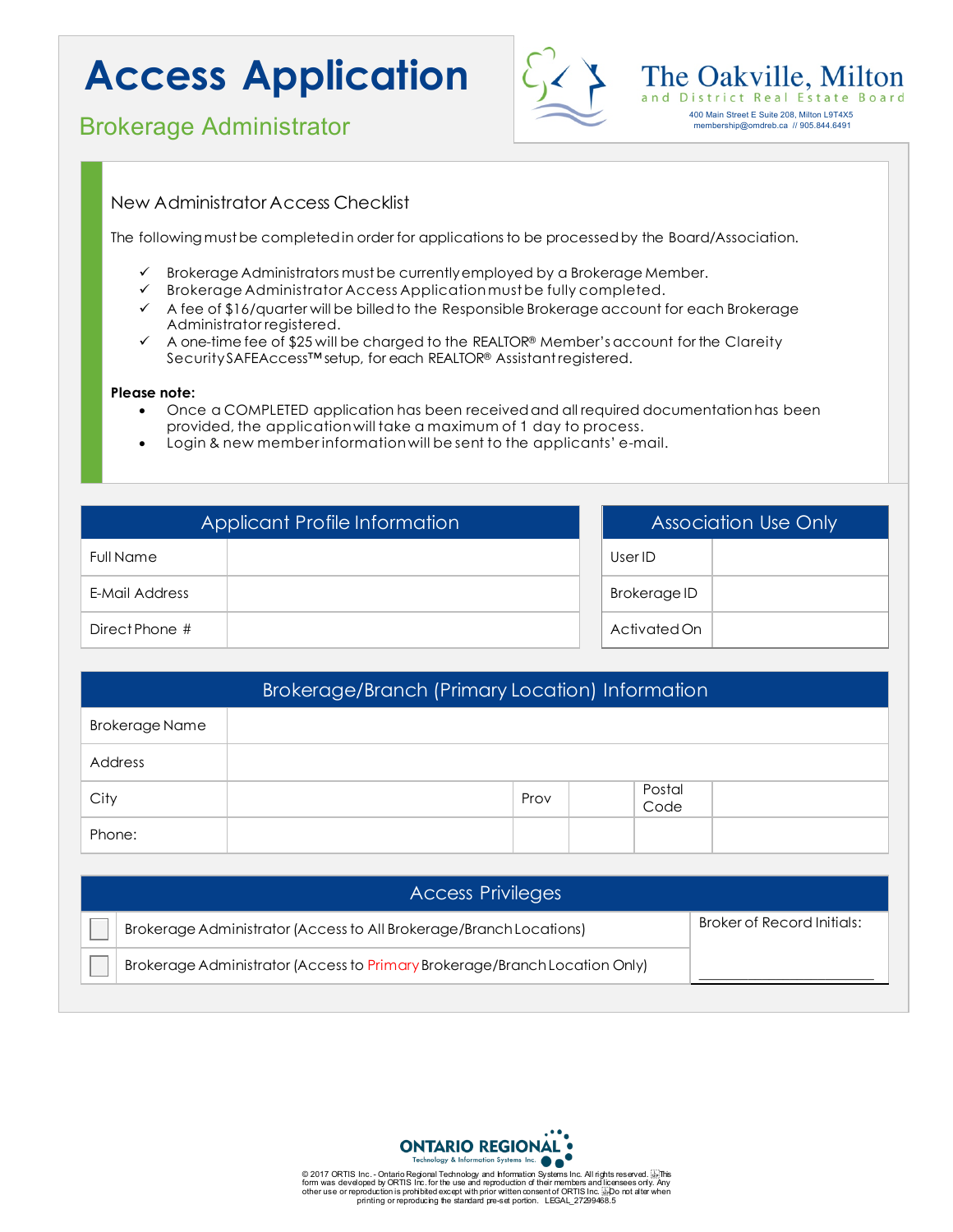# **Access Application**



membership@omdreb.ca // 905.844.6491

### **Brokerage Administrator** 400 Main Street E Suite 208, Milton L9T4X5

### New Administrator Access Checklist

The following must be completed in order for applications to be processed by the Board/Association.

- Brokerage Administrators must be currently employed by a Brokerage Member.
- Brokerage Administrator Access Application must be fully completed.
- $\checkmark$  A fee of \$16/quarter will be billed to the Responsible Brokerage account for each Brokerage Administrator registered.
- $\checkmark$  A one-time fee of \$25 will be charged to the REALTOR® Member's account for the Clareity SecuritySAFEAccess™setup, for each REALTOR® Assistant registered.

#### **Please note:**

- Once a COMPLETED application has been receivedand all required documentationhas been provided, the application will take a maximum of 1 day to process.
- Login & new member information will be sent to the applicants' e-mail.

| Applicant Profile Information |  | <b>Association Use Only</b> |  |
|-------------------------------|--|-----------------------------|--|
| <b>Full Name</b>              |  | User ID                     |  |
| E-Mail Address                |  | <b>Brokerage ID</b>         |  |
| Direct Phone #                |  | Activated On                |  |

| <b>Brokerage/Branch (Primary Location) Information</b> |  |      |  |                |  |  |  |
|--------------------------------------------------------|--|------|--|----------------|--|--|--|
| <b>Brokerage Name</b>                                  |  |      |  |                |  |  |  |
| Address                                                |  |      |  |                |  |  |  |
| City                                                   |  | Prov |  | Postal<br>Code |  |  |  |
| Phone:                                                 |  |      |  |                |  |  |  |

| <b>Access Privileges</b> |                                                                            |                            |  |  |  |
|--------------------------|----------------------------------------------------------------------------|----------------------------|--|--|--|
|                          | Brokerage Administrator (Access to All Brokerage/Branch Locations)         | Broker of Record Initials: |  |  |  |
|                          | Brokerage Administrator (Access to Primary Brokerage/Branch Location Only) |                            |  |  |  |



© 2017 ORTIS Inc. - Ontario Regional Technology and Information Systems Inc. All rights reserved. طابی The System I<br>form was developed by ORTIS Inc. for the use and reproduction of their members and Iicensees only. Any<br>ot printing or reproducing the standard pre-set portion. LEGAL\_27299468.5